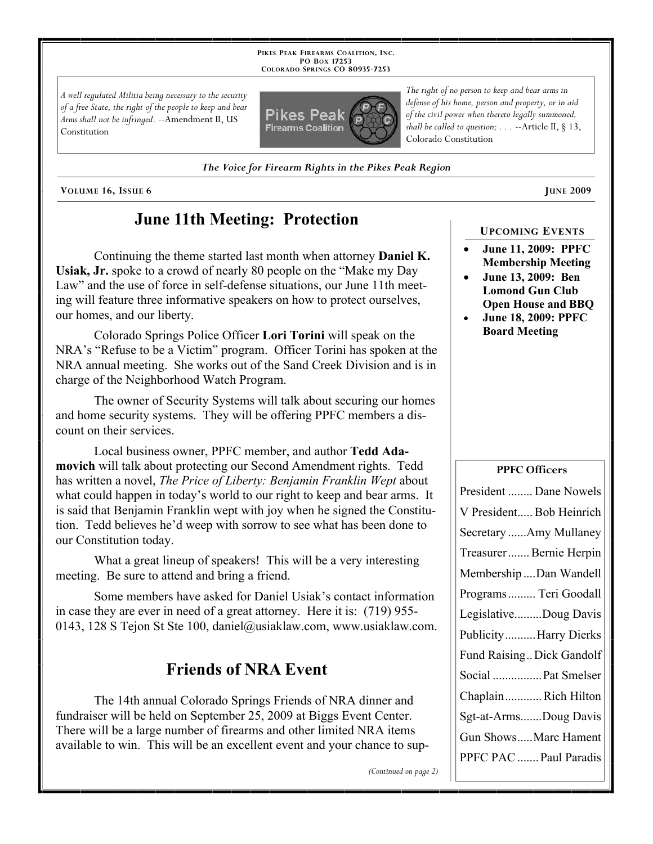**PIKES PEAK FIREARMS COALITION, INC. PO BOX 17253 COLORADO SPRINGS CO 80935 -7253**

*A well regulated Militia being necessary to the security of a free State, the right of the people to keep and bear Arms shall not be infringed.* --Amendment II, US Constitution



*defense of his home, person and property, or in aid of the civil power when thereto legally summoned, shall be called to question; . . .* --Article II, § 13, Colorado Constitution

*The right of no person to keep and bear arms in* 

*The Voice for Firearm Rights in the Pikes Peak Region*

**VOLUME** 16, ISSUE 6 **JUNE** 2009

# **June 11th Meeting: Protection**

Continuing the theme started last month when attorney **Daniel K. Usiak, Jr.** spoke to a crowd of nearly 80 people on the "Make my Day Law" and the use of force in self-defense situations, our June 11th meeting will feature three informative speakers on how to protect ourselves, our homes, and our liberty.

Colorado Springs Police Officer **Lori Torini** will speak on the NRA's "Refuse to be a Victim" program. Officer Torini has spoken at the NRA annual meeting. She works out of the Sand Creek Division and is in charge of the Neighborhood Watch Program.

The owner of Security Systems will talk about securing our homes and home security systems. They will be offering PPFC members a discount on their services.

Local business owner, PPFC member, and author **Tedd Adamovich** will talk about protecting our Second Amendment rights. Tedd has written a novel, *The Price of Liberty: Benjamin Franklin Wept* about what could happen in today's world to our right to keep and bear arms. It is said that Benjamin Franklin wept with joy when he signed the Constitution. Tedd believes he'd weep with sorrow to see what has been done to our Constitution today.

What a great lineup of speakers! This will be a very interesting meeting. Be sure to attend and bring a friend.

Some members have asked for Daniel Usiak's contact information in case they are ever in need of a great attorney. Here it is: (719) 955- 0143, 128 S Tejon St Ste 100, daniel@usiaklaw.com, www.usiaklaw.com.

## **Friends of NRA Event**

The 14th annual Colorado Springs Friends of NRA dinner and fundraiser will be held on September 25, 2009 at Biggs Event Center. There will be a large number of firearms and other limited NRA items available to win. This will be an excellent event and your chance to sup-

*(Continued on page 2)*

### **UPCOMING EVENTS**

- **June 11, 2009: PPFC Membership Meeting**
- **June 13, 2009: Ben Lomond Gun Club Open House and BBQ**
- **June 18, 2009: PPFC Board Meeting**

#### **PPFC Officers**

| President  Dane Nowels    |
|---------------------------|
| V President Bob Heinrich  |
| Secretary Amy Mullaney    |
| Treasurer Bernie Herpin   |
| Membership Dan Wandell    |
| Programs  Teri Goodall    |
| LegislativeDoug Davis     |
| PublicityHarry Dierks     |
| Fund Raising Dick Gandolf |
| Social  Pat Smelser       |
| ChaplainRich Hilton       |
| Sgt-at-ArmsDoug Davis     |
| Gun ShowsMarc Hament      |
| PPFC PAC  Paul Paradis    |